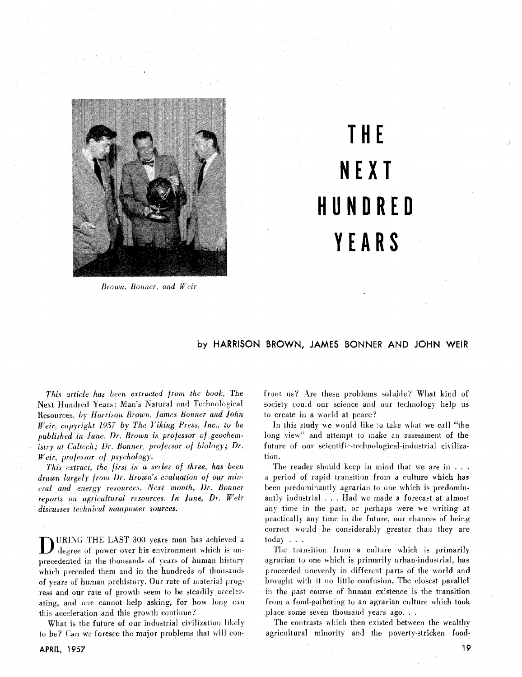

Brown, Bonner, and Weir

# THE NEXT HUNDRED YEARS

## by HARRISON BROWN, JAMES BONNER AND JOHN WEIR

This article has been extracted from the book, The Next Hundred Years: Man's Natural and Technological Resources, by Harrison Brown, James Bonner and John Weir, copyright 1957 by The Viking Press, Inc., to be published in June. Dr. Brown is professor of geochemistry at Caltech; Dr. Bonner, professor of biology; Dr. Weir, professor of psychology.

This extract, the first in a series of three, has been drawn largely from Dr. Brown's evaluation of our mineral and energy resources. Next month, Dr. Bonner reports on agricultural resources. In June, Dr. Weir discusses technical manpower sources.

URING THE LAST 300 years man has achieved a degree of power over his environment which is unprecedented in the thousands of years of human history which preceded them and in the hundreds of thousands of years of human prehistory. Our rate of material progress and our rate of growth seem to be steadily accelerating, and one cannot help asking, for how long can this acceleration and this growth continue?

What is the future of our industrial civilization likely to be? Can we foresee the major problems that will con-

**APRIL, 1957** 

front us? Are these problems soluble? What kind of society could our science and our technology help us to create in a world at peace?

In this study we would like to take what we call "the long view" and attempt to make an assessment of the future of our scientific-technological-industrial civilization.

The reader should keep in mind that we are in  $\ldots$ a period of rapid transition from a culture which has been predominantly agrarian to one which is predominantly industrial . . . Had we made a forecast at almost any time in the past, or perhaps were we writing at practically any time in the future, our chances of being correct would be considerably greater than they are  $today \ldots$ 

The transition from a culture which is primarily agrarian to one which is primarily urban-industrial, has proceeded unevenly in different parts of the world and brought with it no little confusion. The closest parallel in the past course of human existence is the transition from a food-gathering to an agrarian culture which took place some seven thousand years ago...

The contrasts which then existed between the wealthy agricultural minority and the poverty-stricken food-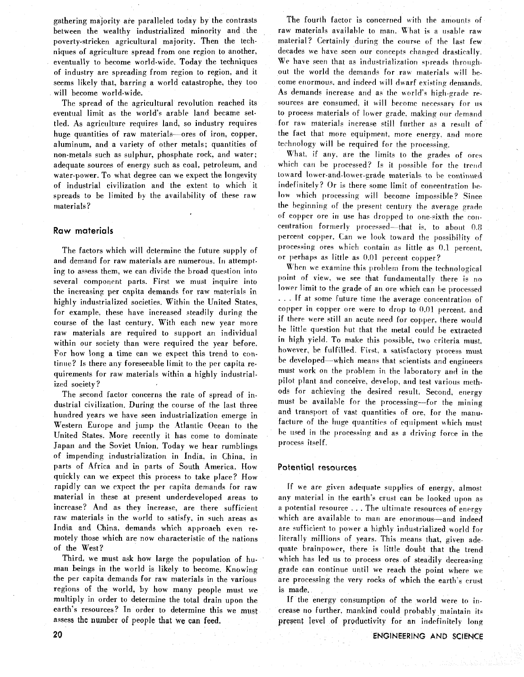gathering majority are paralleled today by the contrasts between the wealthy industrialized minority and the poverty-stricken agricultural majority. Then the techniques of agriculture spread from one region to another, eventually to become world-wide. Today the techniques of industry are spreading from region to region, and it seems likely that, barring a world catastrophe, they too will become world-wide.

The spread of the agricultural revolution reached its eventual limit as the world's arable land became settled. As agriculture requires land, so industry requires huge quantities of raw materials-ores of iron, copper, aluminum, and a variety of other metals; quantities of non-metals such as sulphur, phosphate rock. and water; adequate sources of energy such as coal, petroleum, and water-power. To what degree can we expect the longevity of industrial civilization and the extent to which it spreads to be limited by the availability of these raw materials?

## **Raw materials**

The factors which will determine the future supply of and demand for raw materials are numerous. In attempting to assess them, we can divide the broad question into several component parts. First we must inquire into the increasing per capita demands for raw materials in highly industrialized societies. Within the United States, for example. these have increased steadily during the course of the last century. With each new year more raw materials are required to support an individual within our society than were required the year before. For how long a time can we expect this trend to continue? Is there any foreseeable limit to the per capita requirements for raw materials within a highly industrialized society?

The second factor concerns the rate of spread of industrial civilization. During the course of the last three hundred years we have seen industrialization emerge in Western Europe and jump the Atlantic Ocean to the United States. More recently it has come to dominate Japan and the Soviet Union. Today we hear rumblings of impending industrialization in India, in China, in parts of Africa and in parts of South America. How quickly can we expect this process to take place? How rapidly can we expect the per capita demands for raw material in these at present underdeveloped areas to increase? And as they increase, are there sufficient raw materials in the world to satisfy, in such areas as India and China, demands which approach even remotely those which are now characteristic of the nations of the West?

Third, we must ask how large the population of human beings in the world is likely to become. Knowing the per capita demands for raw materials in the various regions of the world, by how many people must we multiply in order to determine the total drain upon the earth's resources? In order to determine this we must assess the number of people that we can **feed,** 

The fourth factor is concerned with the amounts **of**  raw materials available to man. **IX** hat is a usable raw material? Certainly during the course of the last few decades we have seen our concepts changed drastically. We have seen that as industrialization spreads throughout the world the demands for raw materials will become enormous. and indeed will dwarf existing demands. As demands increase and as the world's high-grade resources are consumed, it will become necessary for us to process materials of lower grade. making our demand for raw materials increase still further as a result of the fact that more equipment, more energy. and more technology will be required for the processing:.

What. if any. are the limits to the grades of ores which can be processed? Is it possible for the trend toward lower-and-lower-grade materials to be continued indefinitely? Or is there some limit of concentration below which processing will become impossible? Since the beginning of the present century the average grade of copper ore in use has dropped to one-sixth the concentration formerly processed-that is, to about 0.8 percent copper. Lan we look toward the possibility of processing ores which contain as little as 0.1 percent. or perhaps as little as 0.01 percent copper?

When we examine this problem from the technological point of view. we see that fundamentally there is no lower limit to the grade of an ore which can be processed . . . If at some future time the average concentration of copper in copper ore were to drop to 0.01 percent. and if there were still an acute need for copper. there would be little question but that the metal could he extracted in high yield. To make this possible, two criteria must. however, be fulfilled. First. a satisfactory process must be developed-which means that scientists and engineers must work on the problem in the laboratory and in the pilot plant and conceive, develop, and test various methods for achieving the desired result. Second, energy must he available for the processing-for the mining and transport of vast quantities of ore. for the manufacture of ihe huge quantities of equipment which must be used in the processing and as a driving force in the process itself.

#### **Potential resources**

If we are given adequate supplies of energy, almost any material in the earth's crust can be looked upon as a potential resource . . . The ultimate resources of energy which are available to man are enormous-and indeed are sufficient to power a highly industrialized world for literally millions of years. This means that, given adequate brainpower, there is little doubt that the trend which has led us to process ores of steadily decreasing grade can continue until we reach the point where we are processing the very rocks of which the earth's crust is made.

If the energy consumptipn of the world were to increase no further, mankind could probably maintain it< present level of productivity for an indefinitely long

ENGINEERING AND **SCIENCE**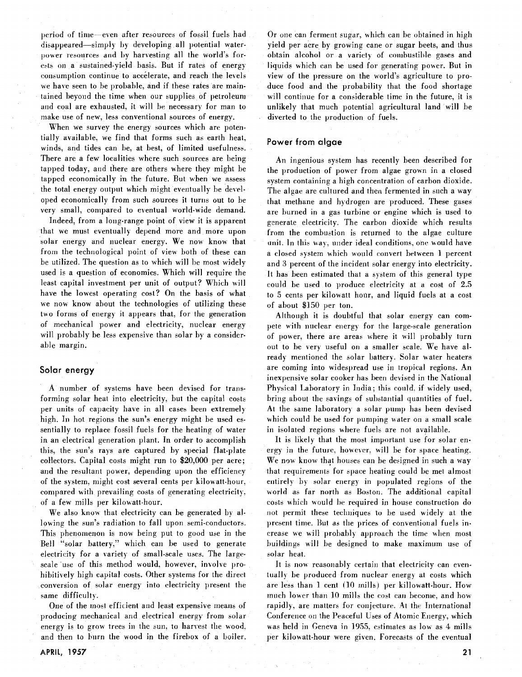period of time- even after resources of fossil fuels had disappeared-simply by developing all potential waterpower resources and by harvesting all the world's forests on a sustained-yield basis. But if rates of energy consumption continue to accelerate, and reach the levels we have seen to be probable, and if these rates are maintained beyond the time when our supplies of petroleum and coal are exhausted, it will be necessary for man to make use of new, less conventional sources of energy.

When we survey the energy sources which are potentially available. we find that forms such as earth heat, winds. and tides can be, at best, of limited usefulness. There are a few localities where such sources are being tapped today, and there are others where they might be tapped economically in the future. But when we assess the total energy output which might eventually he developed economically from such sources it turns out to be very small, compared to eventual world-wide demand.

Indeed, from a long-range point of view it is apparent that we must eventually depend more and more upon solar energy and nuclear energy. We now know that from the technological point of view both of these can be utilized. The question as to which will be most widely used is a question of economics. Which will require the least capital investment per unit of output? Which will have the lowest operating cost? On the basis of what we now know about the technologies of utilizing these two forms of energy it appears that, for the generation of mechanical power and electricity, nuclear energy will probably be less expensive than solar by a considerable margin.

#### **Solar energy**

A number of systems have been devised for transforming solar heat into electricity, but the capital costs per units of capacity have in all cases been extremely high. In hot regions the sun's energy might be used essentially to replace fossil fuels for the heating of water in an electrical generation plant. In order to accomplish this, the sun's rays are captured by special flat-plate collectors. Capital costs might run to \$20,000 per acre; and the resultant power, depending upon the efficiency of the system. might cost several cents per kilowatt-hour. compared with prevailing costs of generating electricity. of a few mills per kilowatt-hour.

We also know that electricity can be generated by allowing the sun's radiation to fall upon semi-conductors. This phenomenon is now being put to good use in the Bell "solar battery," which can be used to generate electricity for a variety of small-scale uses. The largescale use of this method would, however, involve prohibitively high capital costs. Other systems for the direct conversion of solar energy into electricity present the same difficulty.

One of the most efficient and least expensive means of producing mechanical and electrical energy from solar energy is to grow trees in the sun, to harvest the wood. and then to hurn the wood in the firebox of a boiler.

yield per acre by growing cane or sugar beets, and thus obtain alcohol or a variety of combustible gases and liquids which can be used for generating power. But in view of the pressure on the world's agriculture to produce food and the probability that the food shortage will continue for a considerable time in the future, it is unlikely that much potential agricultural land will be diverted to the production of fuels.

Or one can ferment sugar, which can be obtained in high

#### **Power from algae**

An ingenious system has recently been described for the production of power from algae grown in a closed system containing a high concentration of carbon dioxide. The algae are cullured and then fermented in such a way that methane and hydrogen are produced. These gases are burned in a gas turbine or engine which is used to generate electricity. The carbon dioxide which results from the combustion is returned to the algae culture unit. In this way, under ideal conditions, one would have a closed system which would convert between 1 percent and **3** percent of the incident solar energy into electricity. It has been estimated that a system of this general type could be used to produce electricity at a cost of 2.5 to 5 cents per kilowatt hour. and liquid fuels at a cost of about \$150 per ton.

Although it is doubtful that solar energy can compete with nuclear energy for the large-scale generation of power, there are areas \\here it will probably turn out to be very useful on a smaller scale. We have already mentioned the solar battery. Solar water heaters are coming into widespread use in tropical regions. An inexpensive solar cooker has been devised in the National Physical Laboratory in India; this could. if widely used, bring about the savings of substantial quantities of fuel. At the same laboratory a solar pump has been devised which could be used for pumping water on a small scale in isolated regions where fuels are not available.

It is likely that the most important use for solar energy in the future. however. will be tor space heating. We now know that houses can be designed in such a way that requirements for space heating could be met almost entirely by solar energy in populated regions of the world as far north as Boston. The additional capital costs which would be required in house construction do not permit these techniques to be used widely at the present time. But as the prices of conventional fuels increase we will probably approach the time when most building? will be designed to make maximum use of solar heat.

It is now reasonably certain that electricity can eventually be produced from nuclear energy at costs which are less than 1 cent (10 rnills) per killowatt-hour. How much lower than **I0** mills the cost can become, and how rapidly, are matters for conjecture. At the International Conference on the Peaceful Uses of Atomic Energy, which was held in Geneva in 1955. estimates as low as 4 mills per kilowatt-hour were given. Forecasts of the eventual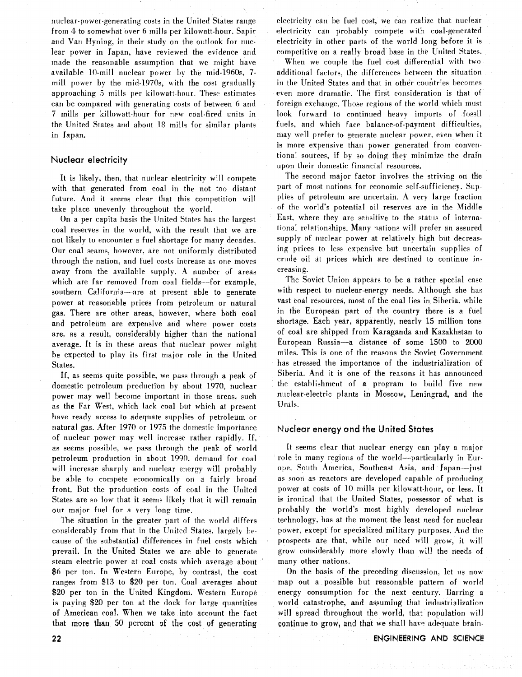nuclear-power-generating costs in the United States range from 4 to somewhat over 6 mills per kilowatt-hour. Sapir and Van Hyning. in their study on the outlook for nuclear power in Japan, have reviewed the evidence and made the reasonable assumption that we might have available 10-mill nuclear power by the mid-1960s, 7 mill power by the mid-1970s, with the cost gradually approaching 5 mills per kilowatt-hour. These estimates can be compared with generating costs of between 6 and **7** mills per killowatt-hour for new coal-fired units in the United States and about 18 mills for similar plants in Japan.

## **Nuclear electricity**

It is likely, then, that nuclear electricity will compete with that generated from coal in the not too distant future. And it seems clear that this competition will take place unevenly throughout the world.

On a per capita basis the United States has the largest coal reserves in the world, with the result that we are not likely to encounter a fuel shortage for many decades. Our coal seams, however. are not uniformly distributed through the nation, and fuel costs increase as one moves away from the available supply. A number of areas which are far removed from coal fields-for example. southern California-are at present able to generate power at reasonable prices from petroleum or natural gas. There are other areas, however. where both coal and petroleum are expensive and where power costs are. as a result, considerably higher than the national average. It is in these areas that nuclear power might be expected to play its first major role in the United States.

If, as seems quite possible, we pass through a peak of domestic petroleum production by about 1970, nuclear power may well become important in those areas, such as the Far West, which lack coal but which at present have ready access to adequate supplies of petroleum or natural gas. After 1970 or 1975 the domestic importance of nuclear power may well increase rather rapidly. If, as seems possible, we pass through the peak of world petroleum production in about 1990, demand for coal will increase sharply and nuclear energy will probably be able to compete economically on a fairly broad front. But the production costs of coal in the United States are so low that it seems likely that it will remain our major fuel for a very long time.

The situation in the greater part of the world differs considerably from that in the United States. largely because of the substantial differences in fuel costs which prevail. In the United States we are able to generate steam electric power at coal costs which average about \$6 per ton. In Western Europe, by contrast, the cost ranges from \$13 to \$20 per ton. Coal averages about \$20 per ton in the United Kingdom. Western Europe is paying \$20 per ton at the dock for large quantities of American coal. When we take into account the fact that **more** than 50 percent of the cost **of** generating

electricity can be fuel cost, we can realize that nuclear electricity can probably compete with coal-generated electricity in other parts of the world long before it is competitive on a really broad base in the United States. When we couple the fuel cost differential with two additional factors, the differences between the situation in the United States and that in other countries becomes even more dramatic. The first consideration is that of foreign exchange. Those regions of the world which must look forward to continued heavy imports of fossil fuels, and which face balance-of-payment difficulties, may well prefer to generate nuclear power. even when it is more expensive than power generated from conventional sources, if by so doing they minimize the drain upon their domestic financial resources.

The second major factor involves the striving on the part of most nations for economic self-sufficiency. Supplies of petroleum are uncertain. A very large fraction of the world's potential oil reserves are in the Middle East. where they are sensitive to the status of international relationships. Many nations will prefer an assured supply of nuclear power at relatively high but decreasing prices to less expensive but uncertain supplies of crude oil at prices which are destined to continue increasing.

The Soviet Union appears to be a rather special case with respect to nuclear-energy needs. Although she has vast coal resources, most of the coal lies in Siberia, while in the European part of the country there is a fuel shortage. Each year, apparently, nearly 15 million tons of coal are shipped from Karaganda and Kazakhstan to European Russia-a distance of some 1500 to 2000 miles. This is one of the reasons the Soviet Government has stressed the importance of the industrialization of Siberia. And it is one of the reasons it has announced the establishment of a program to build five new nuclear-electric plants in Moscow, Leningrad, and the Urals.

## **Nuclear energy and the United States**

It seems clear that nuclear energy can play a major role in many regions of the world-particularly in Europe, South America, Southeast Asia, and Japan-just as soon as reactors are developed capable of producing power at costs of 10 mills per kilowatt-hour, or less. It is ironical that the United States, possessor of what is probably the world's most highly developed nuclear technology. has at the moment the least need for nucleai power, except for specialized military purposes. And the prospects are that, while our need will grow, it will grow considerably more slowly than will the needs of many other nations.

On the basis of the preceding discussion, let us now map out a possible hut reasonable pattern of world energy consumption for the next century. Barring a world catastrophe, and assuming that industrialization will spread throughout the world. that population will continue to grow, and that we shall have adequate brain-

## ENGINEERING AND SCIENCE